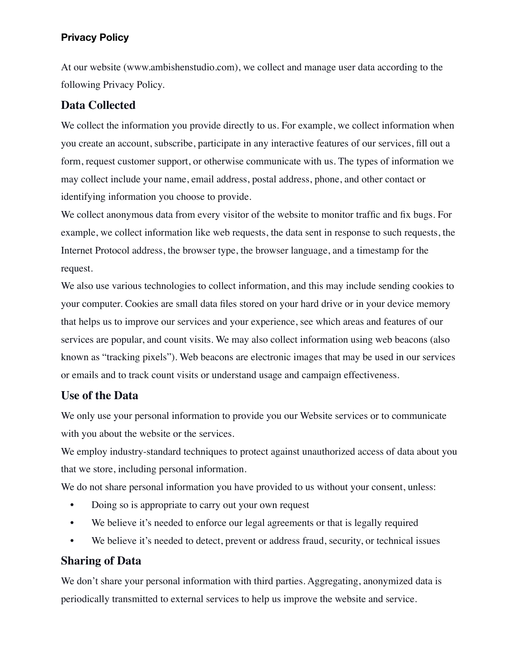### **Privacy Policy**

At our website (www.ambishenstudio.com), we collect and manage user data according to the following Privacy Policy.

### **Data Collected**

We collect the information you provide directly to us. For example, we collect information when you create an account, subscribe, participate in any interactive features of our services, fill out a form, request customer support, or otherwise communicate with us. The types of information we may collect include your name, email address, postal address, phone, and other contact or identifying information you choose to provide.

We collect anonymous data from every visitor of the website to monitor traffic and fix bugs. For example, we collect information like web requests, the data sent in response to such requests, the Internet Protocol address, the browser type, the browser language, and a timestamp for the request.

We also use various technologies to collect information, and this may include sending cookies to your computer. Cookies are small data files stored on your hard drive or in your device memory that helps us to improve our services and your experience, see which areas and features of our services are popular, and count visits. We may also collect information using web beacons (also known as "tracking pixels"). Web beacons are electronic images that may be used in our services or emails and to track count visits or understand usage and campaign effectiveness.

#### **Use of the Data**

We only use your personal information to provide you our Website services or to communicate with you about the website or the services.

We employ industry-standard techniques to protect against unauthorized access of data about you that we store, including personal information.

We do not share personal information you have provided to us without your consent, unless:

- Doing so is appropriate to carry out your own request
- We believe it's needed to enforce our legal agreements or that is legally required
- We believe it's needed to detect, prevent or address fraud, security, or technical issues

#### **Sharing of Data**

We don't share your personal information with third parties. Aggregating, anonymized data is periodically transmitted to external services to help us improve the website and service.